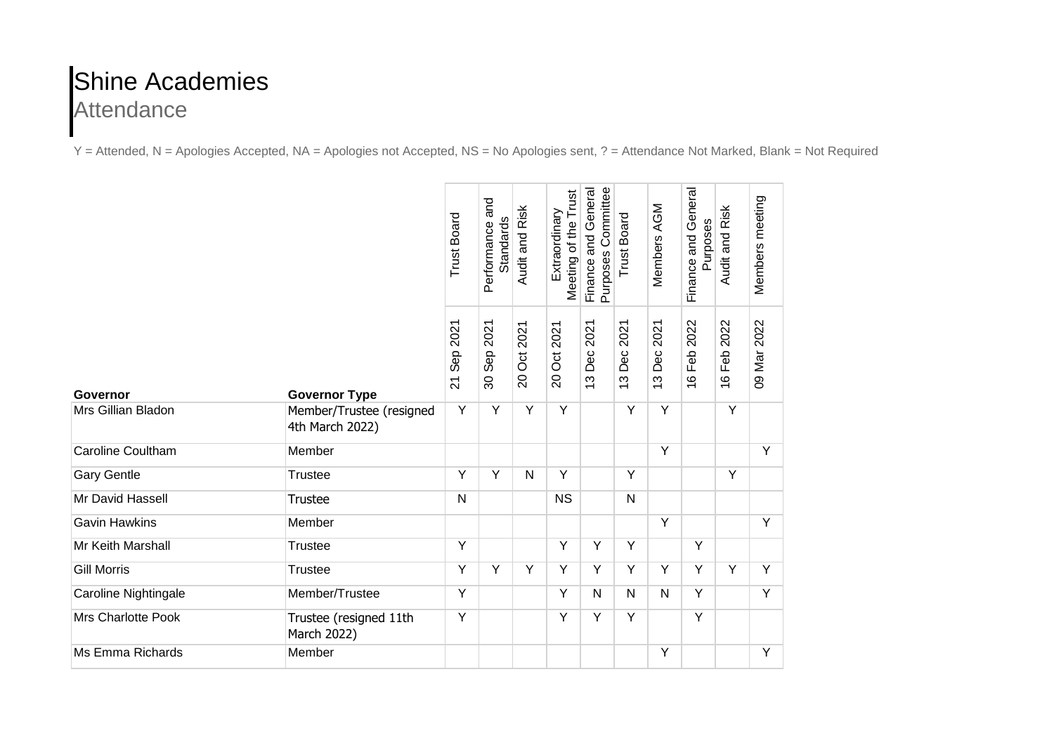## Shine Academies **Attendance**

Y = Attended, N = Apologies Accepted, NA = Apologies not Accepted, NS = No Apologies sent, ? = Attendance Not Marked, Blank = Not Required

|                           |                                             | <b>Trust Board</b>         | Performance and<br>Standards         | Audit and Risk                           | Meeting of the Trust<br>Extraordinary | Purposes Committee<br>Finance and General | <b>Trust Board</b> | Members AGM       | Finance and General<br>Purposes | Audit and Risk               | Members meeting |
|---------------------------|---------------------------------------------|----------------------------|--------------------------------------|------------------------------------------|---------------------------------------|-------------------------------------------|--------------------|-------------------|---------------------------------|------------------------------|-----------------|
| Governor                  | <b>Governor Type</b>                        | Sep 2021<br>$\overline{a}$ | 2021<br>Sep <sub>3</sub><br>$\infty$ | 2021<br>$\overline{5}$<br>$\overline{0}$ | 2021<br>Ö<br>$\overline{0}$           | 2021<br>Dec<br>$\frac{1}{2}$              | 2021<br>Dec<br>13  | 2021<br>Dec<br>13 | 2022<br>Feb<br>$\frac{6}{1}$    | 2022<br>Feb<br>$\frac{6}{1}$ | 09 Mar 2022     |
| Mrs Gillian Bladon        | Member/Trustee (resigned<br>4th March 2022) | Y                          | $\overline{Y}$                       | $\overline{Y}$                           | Y                                     |                                           | Y                  | Y                 |                                 | Υ                            |                 |
| <b>Caroline Coultham</b>  | Member                                      |                            |                                      |                                          |                                       |                                           |                    | Y                 |                                 |                              | Y               |
| <b>Gary Gentle</b>        | <b>Trustee</b>                              | Y                          | $\overline{Y}$                       | N                                        | Y                                     |                                           | Y                  |                   |                                 | Y                            |                 |
| Mr David Hassell          | <b>Trustee</b>                              | $\mathsf{N}$               |                                      |                                          | <b>NS</b>                             |                                           | $\mathsf{N}$       |                   |                                 |                              |                 |
| <b>Gavin Hawkins</b>      | Member                                      |                            |                                      |                                          |                                       |                                           |                    | Y                 |                                 |                              | $\overline{Y}$  |
| Mr Keith Marshall         | <b>Trustee</b>                              | Y                          |                                      |                                          | Y                                     | Y                                         | Y                  |                   | Y                               |                              |                 |
| <b>Gill Morris</b>        | <b>Trustee</b>                              | Y                          | Y                                    | Υ                                        | Y                                     | Y                                         | Y                  | Υ                 | $\overline{Y}$                  | Υ                            | $\overline{Y}$  |
| Caroline Nightingale      | Member/Trustee                              | Y                          |                                      |                                          | Y                                     | N                                         | N                  | N                 | Y                               |                              | Y               |
| <b>Mrs Charlotte Pook</b> | Trustee (resigned 11th<br>March 2022)       | Υ                          |                                      |                                          | Y                                     | Y                                         | Y                  |                   | Y                               |                              |                 |
| Ms Emma Richards          | Member                                      |                            |                                      |                                          |                                       |                                           |                    | Υ                 |                                 |                              | Y               |